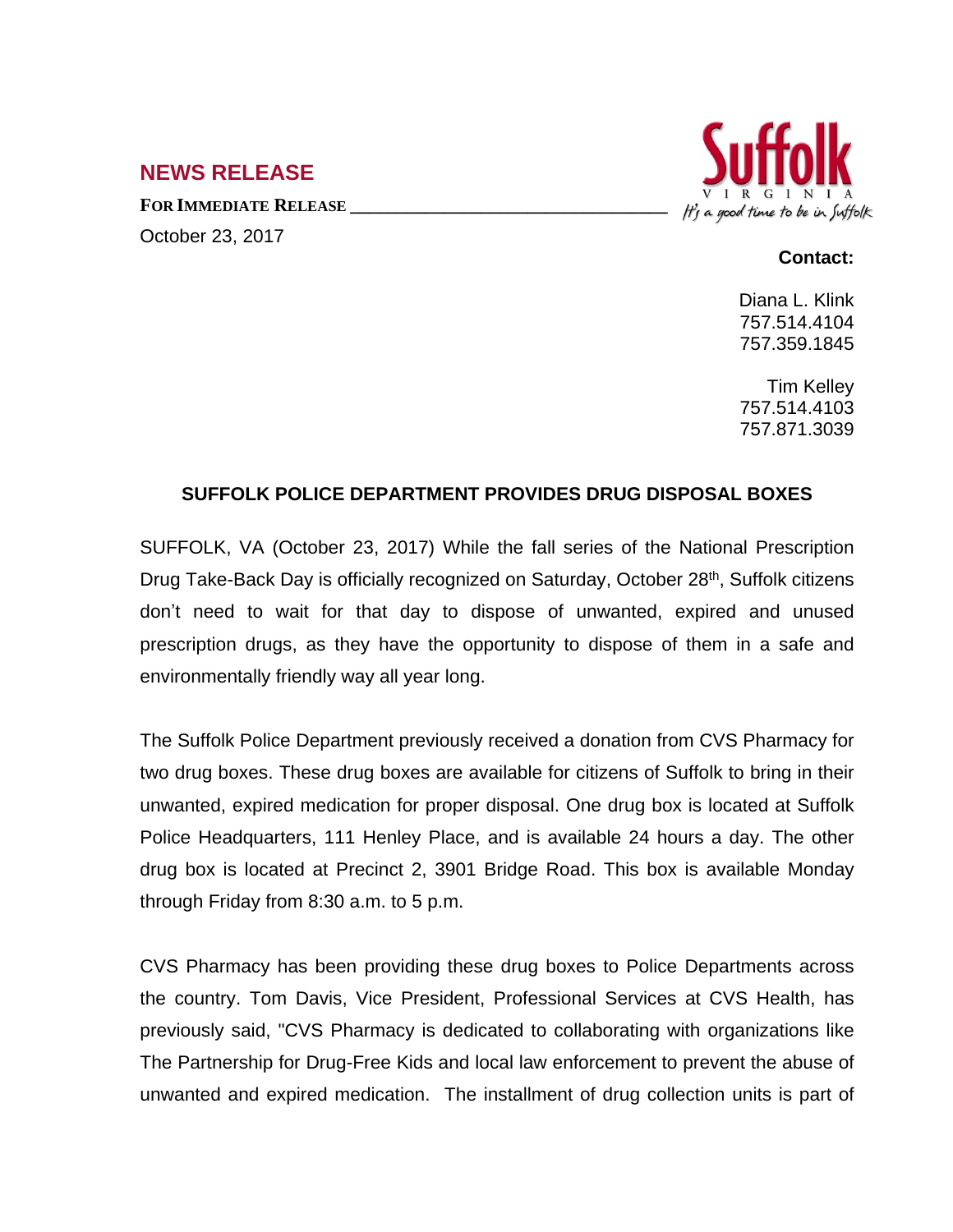## **NEWS RELEASE**

**FOR IMMEDIATE RELEASE \_\_\_\_\_\_\_\_\_\_\_\_\_\_\_\_\_\_\_\_\_\_\_\_\_\_\_\_\_\_\_\_\_\_** October 23, 2017



## **Contact:**

Diana L. Klink 757.514.4104 757.359.1845

Tim Kelley 757.514.4103 757.871.3039

## **SUFFOLK POLICE DEPARTMENT PROVIDES DRUG DISPOSAL BOXES**

SUFFOLK, VA (October 23, 2017) While the fall series of the National Prescription Drug Take-Back Day is officially recognized on Saturday, October 28<sup>th</sup>, Suffolk citizens don't need to wait for that day to dispose of unwanted, expired and unused prescription drugs, as they have the opportunity to dispose of them in a safe and environmentally friendly way all year long.

The Suffolk Police Department previously received a donation from CVS Pharmacy for two drug boxes. These drug boxes are available for citizens of Suffolk to bring in their unwanted, expired medication for proper disposal. One drug box is located at Suffolk Police Headquarters, 111 Henley Place, and is available 24 hours a day. The other drug box is located at Precinct 2, 3901 Bridge Road. This box is available Monday through Friday from 8:30 a.m. to 5 p.m.

CVS Pharmacy has been providing these drug boxes to Police Departments across the country. Tom Davis, Vice President, Professional Services at CVS Health, has previously said, "CVS Pharmacy is dedicated to collaborating with organizations like The Partnership for Drug-Free Kids and local law enforcement to prevent the abuse of unwanted and expired medication. The installment of drug collection units is part of